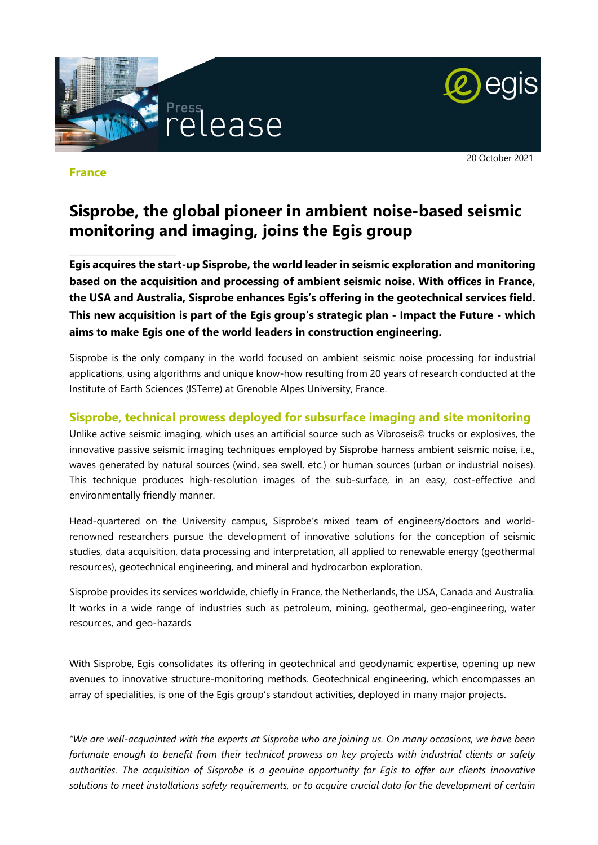

### **France**

\_\_\_\_\_\_\_\_\_\_\_\_\_\_\_\_\_\_\_\_\_\_\_\_\_\_\_\_\_\_\_\_

20 October 2021

# **Sisprobe, the global pioneer in ambient noise-based seismic monitoring and imaging, joins the Egis group**

**Egis acquires the start-up Sisprobe, the world leader in seismic exploration and monitoring based on the acquisition and processing of ambient seismic noise. With offices in France, the USA and Australia, Sisprobe enhances Egis's offering in the geotechnical services field. This new acquisition is part of the Egis group's strategic plan - Impact the Future - which aims to make Egis one of the world leaders in construction engineering.** 

Sisprobe is the only company in the world focused on ambient seismic noise processing for industrial applications, using algorithms and unique know-how resulting from 20 years of research conducted at the Institute of Earth Sciences (ISTerre) at Grenoble Alpes University, France.

## **Sisprobe, technical prowess deployed for subsurface imaging and site monitoring**

Unlike active seismic imaging, which uses an artificial source such as Vibroseis $\circledcirc$  trucks or explosives, the innovative passive seismic imaging techniques employed by Sisprobe harness ambient seismic noise, i.e., waves generated by natural sources (wind, sea swell, etc.) or human sources (urban or industrial noises). This technique produces high-resolution images of the sub-surface, in an easy, cost-effective and environmentally friendly manner.

Head-quartered on the University campus, Sisprobe's mixed team of engineers/doctors and worldrenowned researchers pursue the development of innovative solutions for the conception of seismic studies, data acquisition, data processing and interpretation, all applied to renewable energy (geothermal resources), geotechnical engineering, and mineral and hydrocarbon exploration.

Sisprobe provides its services worldwide, chiefly in France, the Netherlands, the USA, Canada and Australia. It works in a wide range of industries such as petroleum, mining, geothermal, geo-engineering, water resources, and geo-hazards

With Sisprobe, Egis consolidates its offering in geotechnical and geodynamic expertise, opening up new avenues to innovative structure-monitoring methods. Geotechnical engineering, which encompasses an array of specialities, is one of the Egis group's standout activities, deployed in many major projects.

*"We are well-acquainted with the experts at Sisprobe who are joining us. On many occasions, we have been fortunate enough to benefit from their technical prowess on key projects with industrial clients or safety authorities. The acquisition of Sisprobe is a genuine opportunity for Egis to offer our clients innovative solutions to meet installations safety requirements, or to acquire crucial data for the development of certain*